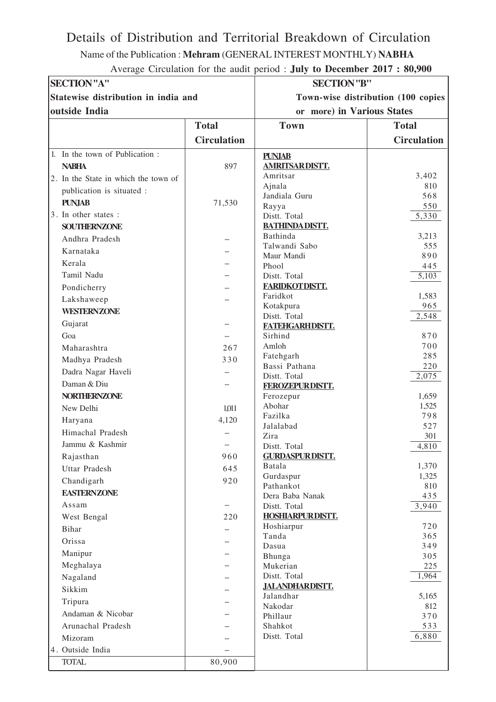## Details of Distribution and Territorial Breakdown of Circulation

Name of the Publication : **Mehram** (GENERAL INTEREST MONTHLY) **NABHA**

| Average Circulation for the audit period : July to December 2017 : 80,900 |  |  |
|---------------------------------------------------------------------------|--|--|
|---------------------------------------------------------------------------|--|--|

| <b>SECTION</b> "A"                   |                    | <b>SECTION</b> "B"                 |                    |
|--------------------------------------|--------------------|------------------------------------|--------------------|
| Statewise distribution in india and  |                    | Town-wise distribution (100 copies |                    |
| outside India                        |                    | or more) in Various States         |                    |
|                                      | <b>Total</b>       | <b>Town</b>                        | <b>Total</b>       |
|                                      | <b>Circulation</b> |                                    | <b>Circulation</b> |
| 1. In the town of Publication :      |                    | <b>PUNJAB</b>                      |                    |
| <b>NABHA</b>                         | 897                | <b>AMRITSARDISTT.</b>              |                    |
| 2. In the State in which the town of |                    | Amritsar                           | 3,402              |
| publication is situated :            |                    | Ajnala                             | 810                |
| <b>PUNJAB</b>                        | 71,530             | Jandiala Guru                      | 568                |
| 3. In other states :                 |                    | Rayya<br>Distt. Total              | 550                |
| <b>SOUTHERNZONE</b>                  |                    | <b>BATHINDADISTT.</b>              | 5,330              |
|                                      |                    | Bathinda                           | 3,213              |
| Andhra Pradesh                       |                    | Talwandi Sabo                      | 555                |
| Karnataka                            |                    | Maur Mandi                         | 890                |
| Kerala                               |                    | Phool                              | 445                |
| Tamil Nadu                           |                    | Distt. Total                       | 5,103              |
| Pondicherry                          |                    | <b>FARIDKOTDISTT.</b>              |                    |
| Lakshaweep                           |                    | Faridkot                           | 1,583              |
| <b>WESTERNZONE</b>                   |                    | Kotakpura<br>Distt. Total          | 965<br>2,548       |
| Gujarat                              |                    | FATEHGARHDISTT.                    |                    |
| Goa                                  |                    | Sirhind                            | 870                |
| Maharashtra                          | 267                | Amloh                              | 700                |
| Madhya Pradesh                       | 330                | Fatehgarh                          | 285                |
| Dadra Nagar Haveli                   |                    | Bassi Pathana                      | 220                |
| Daman & Diu                          |                    | Distt. Total                       | 2,075              |
| <b>NORTHERNZONE</b>                  |                    | FEROZEPURDISTT.                    | 1,659              |
|                                      |                    | Ferozepur<br>Abohar                | 1,525              |
| New Delhi                            | 1,011              | Fazilka                            | 798                |
| Haryana                              | 4,120              | Jalalabad                          | 527                |
| Himachal Pradesh                     |                    | Zira                               | 301                |
| Jammu & Kashmir                      |                    | Distt. Total                       | 4,810              |
| Rajasthan                            | 960                | <b>GURDASPUR DISTT.</b>            |                    |
| <b>Uttar Pradesh</b>                 | 645                | Batala                             | 1,370              |
| Chandigarh                           | 920                | Gurdaspur<br>Pathankot             | 1,325<br>810       |
| <b>EASTERNZONE</b>                   |                    | Dera Baba Nanak                    | 435                |
| Assam                                |                    | Distt. Total                       | 3,940              |
| West Bengal                          | 220                | <b>HOSHIARPUR DISTT.</b>           |                    |
| <b>Bihar</b>                         |                    | Hoshiarpur                         | 720                |
| Orissa                               |                    | Tanda                              | 365                |
| Manipur                              |                    | Dasua                              | 349                |
| Meghalaya                            |                    | Bhunga<br>Mukerian                 | 305<br>225         |
| Nagaland                             |                    | Distt. Total                       | 1,964              |
| Sikkim                               |                    | <b>JALANDHARDISTT.</b>             |                    |
|                                      |                    | Jalandhar                          | 5,165              |
| Tripura                              |                    | Nakodar                            | 812                |
| Andaman & Nicobar                    |                    | Phillaur                           | 370                |
| Arunachal Pradesh                    |                    | Shahkot                            | 533                |
| Mizoram                              |                    | Distt. Total                       | 6,880              |
| 4. Outside India                     |                    |                                    |                    |
| <b>TOTAL</b>                         | 80,900             |                                    |                    |